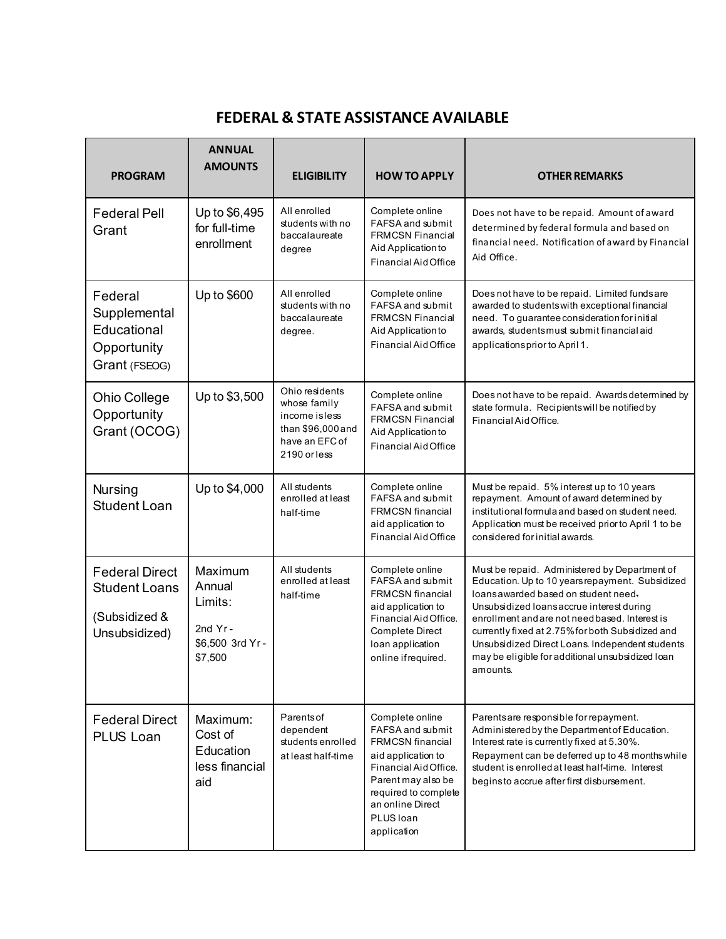## **FEDERAL & STATE ASSISTANCE AVAILABLE**

| <b>PROGRAM</b>                                                                  | <b>ANNUAL</b><br><b>AMOUNTS</b>                                          | <b>ELIGIBILITY</b>                                                                                     | <b>HOW TO APPLY</b>                                                                                                                                                                                         | <b>OTHER REMARKS</b>                                                                                                                                                                                                                                                                                                                                                                                           |
|---------------------------------------------------------------------------------|--------------------------------------------------------------------------|--------------------------------------------------------------------------------------------------------|-------------------------------------------------------------------------------------------------------------------------------------------------------------------------------------------------------------|----------------------------------------------------------------------------------------------------------------------------------------------------------------------------------------------------------------------------------------------------------------------------------------------------------------------------------------------------------------------------------------------------------------|
| <b>Federal Pell</b><br>Grant                                                    | Up to \$6,495<br>for full-time<br>enrollment                             | All enrolled<br>students with no<br>baccalaureate<br>degree                                            | Complete online<br><b>FAFSA and submit</b><br><b>FRMCSN Financial</b><br>Aid Application to<br>Financial Aid Office                                                                                         | Does not have to be repaid. Amount of award<br>determined by federal formula and based on<br>financial need. Notification of award by Financial<br>Aid Office.                                                                                                                                                                                                                                                 |
| Federal<br>Supplemental<br>Educational<br>Opportunity<br>Grant (FSEOG)          | Up to \$600                                                              | All enrolled<br>students with no<br>baccalaureate<br>degree.                                           | Complete online<br>FAFSA and submit<br><b>FRMCSN Financial</b><br>Aid Application to<br>Financial Aid Office                                                                                                | Does not have to be repaid. Limited fundsare<br>awarded to students with exceptional financial<br>need. To guarantee consideration for initial<br>awards, students must submit financial aid<br>applicationsprior to April 1.                                                                                                                                                                                  |
| <b>Ohio College</b><br>Opportunity<br>Grant (OCOG)                              | Up to \$3,500                                                            | Ohio residents<br>whose family<br>income isless<br>than \$96,000 and<br>have an EFC of<br>2190 or less | Complete online<br>FAFSA and submit<br><b>FRMCSN Financial</b><br>Aid Application to<br>Financial Aid Office                                                                                                | Does not have to be repaid. Awards determined by<br>state formula. Recipients will be notified by<br>Financial Aid Office.                                                                                                                                                                                                                                                                                     |
| <b>Nursing</b><br><b>Student Loan</b>                                           | Up to \$4,000                                                            | All students<br>enrolled at least<br>half-time                                                         | Complete online<br>FAFSA and submit<br><b>FRMCSN</b> financial<br>aid application to<br>Financial Aid Office                                                                                                | Must be repaid. 5% interest up to 10 years<br>repayment. Amount of award determined by<br>institutional formula and based on student need.<br>Application must be received prior to April 1 to be<br>considered for initial awards.                                                                                                                                                                            |
| <b>Federal Direct</b><br><b>Student Loans</b><br>(Subsidized &<br>Unsubsidized) | Maximum<br>Annual<br>Limits:<br>2nd $Yr -$<br>\$6,500 3rd Yr-<br>\$7,500 | All students<br>enrolled at least<br>half-time                                                         | Complete online<br>FAFSA and submit<br><b>FRMCSN</b> financial<br>aid application to<br>Financial Aid Office.<br><b>Complete Direct</b><br>Ioan application<br>online ifrequired.                           | Must be repaid. Administered by Department of<br>Education. Up to 10 years repayment. Subsidized<br>loans awarded based on student need.<br>Unsubsidized loans accrue interest during<br>enrollment and are not need based. Interest is<br>currently fixed at 2.75% for both Subsidized and<br>Unsubsidized Direct Loans. Independent students<br>may be eligible for additional unsubsidized loan<br>amounts. |
| <b>Federal Direct</b><br><b>PLUS Loan</b>                                       | Maximum:<br>Cost of<br>Education<br>less financial<br>aid                | Parents of<br>dependent<br>students enrolled<br>at least half-time                                     | Complete online<br>FAFSA and submit<br><b>FRMCSN</b> financial<br>aid application to<br>Financial Aid Office.<br>Parent may also be<br>required to complete<br>an online Direct<br>PLUS Ioan<br>application | Parents are responsible for repayment.<br>Administered by the Department of Education.<br>Interest rate is currently fixed at 5.30%.<br>Repayment can be deferred up to 48 months while<br>student is enrolled at least half-time. Interest<br>begins to accrue after first disbursement.                                                                                                                      |